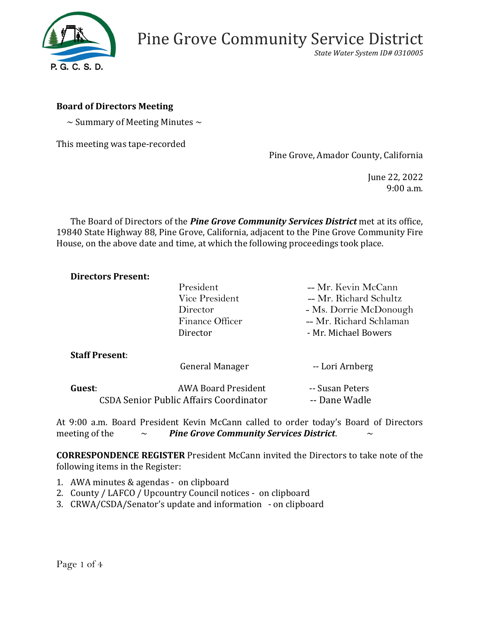

*State Water System ID# 0310005*

### **Board of Directors Meeting**

 $\sim$  Summary of Meeting Minutes  $\sim$ 

This meeting was tape-recorded

Pine Grove, Amador County, California

June 22, 2022 9:00 a.m.

The Board of Directors of the *Pine Grove Community Services District* met at its office, 19840 State Highway 88, Pine Grove, California, adjacent to the Pine Grove Community Fire House, on the above date and time, at which the following proceedings took place.

#### **Directors Present:**

|                                               | President                  | -- Mr. Kevin McCann     |
|-----------------------------------------------|----------------------------|-------------------------|
|                                               | Vice President             | -- Mr. Richard Schultz  |
|                                               | Director                   | - Ms. Dorrie McDonough  |
|                                               | Finance Officer            | -- Mr. Richard Schlaman |
|                                               | Director                   | - Mr. Michael Bowers    |
| <b>Staff Present:</b>                         |                            |                         |
|                                               | General Manager            | -- Lori Arnberg         |
| Guest:                                        | <b>AWA Board President</b> | -- Susan Peters         |
| <b>CSDA Senior Public Affairs Coordinator</b> |                            | -- Dane Wadle           |

At 9:00 a.m. Board President Kevin McCann called to order today's Board of Directors meeting of the  $\sim$  *Pine Grove Community Services District.* 

**CORRESPONDENCE REGISTER** President McCann invited the Directors to take note of the following items in the Register:

- 1. AWA minutes & agendas on clipboard
- 2. County / LAFCO / Upcountry Council notices on clipboard
- 3. CRWA/CSDA/Senator's update and information on clipboard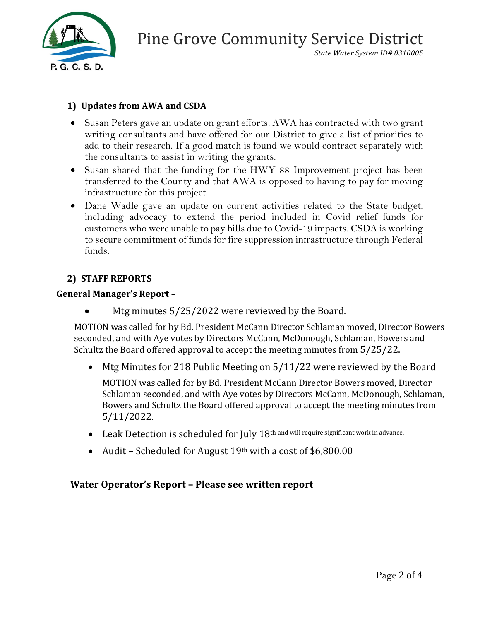

*State Water System ID# 0310005*

# **1) Updates from AWA and CSDA**

- Susan Peters gave an update on grant efforts. AWA has contracted with two grant writing consultants and have offered for our District to give a list of priorities to add to their research. If a good match is found we would contract separately with the consultants to assist in writing the grants.
- Susan shared that the funding for the HWY 88 Improvement project has been transferred to the County and that AWA is opposed to having to pay for moving infrastructure for this project.
- Dane Wadle gave an update on current activities related to the State budget, including advocacy to extend the period included in Covid relief funds for customers who were unable to pay bills due to Covid-19 impacts. CSDA is working to secure commitment of funds for fire suppression infrastructure through Federal funds.

# **2) STAFF REPORTS**

### **General Manager's Report –**

Mtg minutes 5/25/2022 were reviewed by the Board.

MOTION was called for by Bd. President McCann Director Schlaman moved, Director Bowers seconded, and with Aye votes by Directors McCann, McDonough, Schlaman, Bowers and Schultz the Board offered approval to accept the meeting minutes from 5/25/22.

• Mtg Minutes for 218 Public Meeting on 5/11/22 were reviewed by the Board

**MOTION** was called for by Bd. President McCann Director Bowers moved, Director Schlaman seconded, and with Aye votes by Directors McCann, McDonough, Schlaman, Bowers and Schultz the Board offered approval to accept the meeting minutes from 5/11/2022.

- Leak Detection is scheduled for July 18th and will require significant work in advance.
- Audit Scheduled for August  $19<sup>th</sup>$  with a cost of \$6,800.00

# **Water Operator's Report – Please see written report**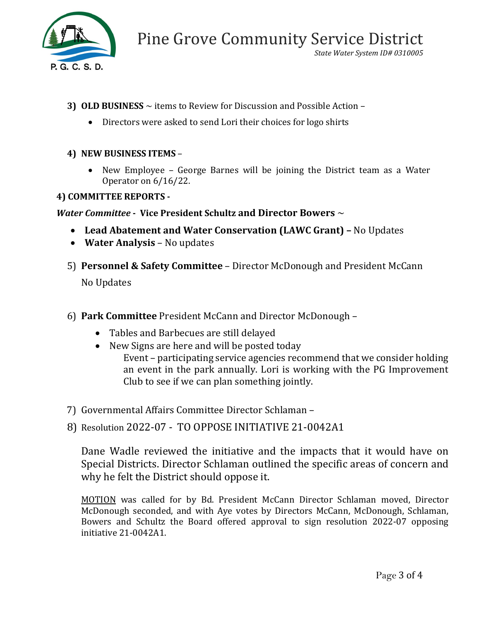

*State Water System ID# 0310005*

- **3) OLD BUSINESS** ~ items to Review for Discussion and Possible Action
	- Directors were asked to send Lori their choices for logo shirts

## **4) NEW BUSINESS ITEMS** –

• New Employee – George Barnes will be joining the District team as a Water Operator on 6/16/22.

## **4) COMMITTEE REPORTS -**

## *Water Committee* **- Vice President Schultz and Director Bowers** ~

- **Lead Abatement and Water Conservation (LAWC Grant) –** No Updates
- **Water Analysis**  No updates
- 5) **Personnel & Safety Committee** Director McDonough and President McCann No Updates
- 6) **Park Committee** President McCann and Director McDonough
	- Tables and Barbecues are still delayed
	- New Signs are here and will be posted today Event – participating service agencies recommend that we consider holding an event in the park annually. Lori is working with the PG Improvement Club to see if we can plan something jointly.
- 7) Governmental Affairs Committee Director Schlaman –

# 8) Resolution 2022-07 - TO OPPOSE INITIATIVE 21-0042A1

Dane Wadle reviewed the initiative and the impacts that it would have on Special Districts. Director Schlaman outlined the specific areas of concern and why he felt the District should oppose it.

MOTION was called for by Bd. President McCann Director Schlaman moved, Director McDonough seconded, and with Aye votes by Directors McCann, McDonough, Schlaman, Bowers and Schultz the Board offered approval to sign resolution 2022-07 opposing initiative 21-0042A1.